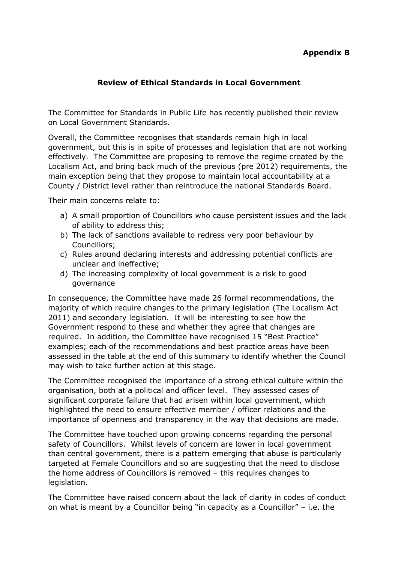## **Appendix B**

## **Review of Ethical Standards in Local Government**

The Committee for Standards in Public Life has recently published their review on Local Government Standards.

Overall, the Committee recognises that standards remain high in local government, but this is in spite of processes and legislation that are not working effectively. The Committee are proposing to remove the regime created by the Localism Act, and bring back much of the previous (pre 2012) requirements, the main exception being that they propose to maintain local accountability at a County / District level rather than reintroduce the national Standards Board.

Their main concerns relate to:

- a) A small proportion of Councillors who cause persistent issues and the lack of ability to address this;
- b) The lack of sanctions available to redress very poor behaviour by Councillors;
- c) Rules around declaring interests and addressing potential conflicts are unclear and ineffective;
- d) The increasing complexity of local government is a risk to good governance

In consequence, the Committee have made 26 formal recommendations, the majority of which require changes to the primary legislation (The Localism Act 2011) and secondary legislation. It will be interesting to see how the Government respond to these and whether they agree that changes are required. In addition, the Committee have recognised 15 "Best Practice" examples; each of the recommendations and best practice areas have been assessed in the table at the end of this summary to identify whether the Council may wish to take further action at this stage.

The Committee recognised the importance of a strong ethical culture within the organisation, both at a political and officer level. They assessed cases of significant corporate failure that had arisen within local government, which highlighted the need to ensure effective member / officer relations and the importance of openness and transparency in the way that decisions are made.

The Committee have touched upon growing concerns regarding the personal safety of Councillors. Whilst levels of concern are lower in local government than central government, there is a pattern emerging that abuse is particularly targeted at Female Councillors and so are suggesting that the need to disclose the home address of Councillors is removed – this requires changes to legislation.

The Committee have raised concern about the lack of clarity in codes of conduct on what is meant by a Councillor being "in capacity as a Councillor" – i.e. the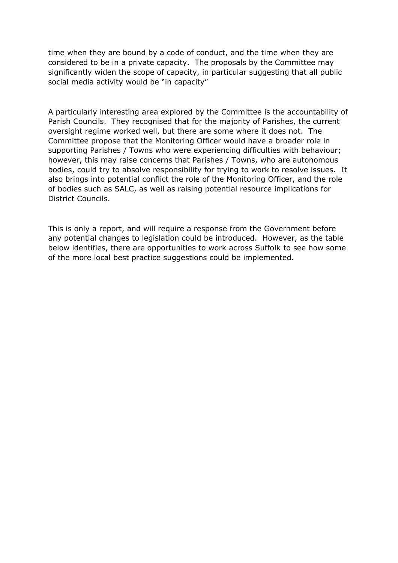time when they are bound by a code of conduct, and the time when they are considered to be in a private capacity. The proposals by the Committee may significantly widen the scope of capacity, in particular suggesting that all public social media activity would be "in capacity"

A particularly interesting area explored by the Committee is the accountability of Parish Councils. They recognised that for the majority of Parishes, the current oversight regime worked well, but there are some where it does not. The Committee propose that the Monitoring Officer would have a broader role in supporting Parishes / Towns who were experiencing difficulties with behaviour; however, this may raise concerns that Parishes / Towns, who are autonomous bodies, could try to absolve responsibility for trying to work to resolve issues. It also brings into potential conflict the role of the Monitoring Officer, and the role of bodies such as SALC, as well as raising potential resource implications for District Councils.

This is only a report, and will require a response from the Government before any potential changes to legislation could be introduced. However, as the table below identifies, there are opportunities to work across Suffolk to see how some of the more local best practice suggestions could be implemented.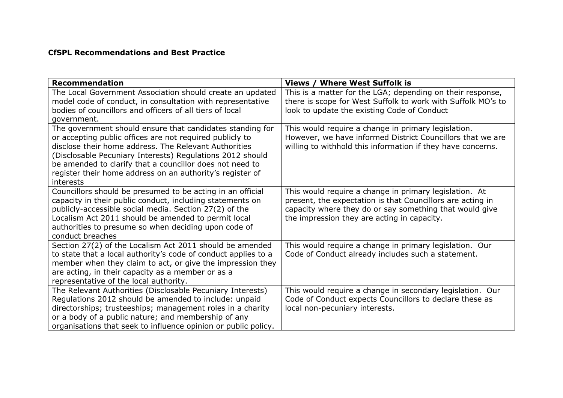## **CfSPL Recommendations and Best Practice**

| <b>Recommendation</b>                                                                                                                                                                                                                                                                                                                                                             | <b>Views / Where West Suffolk is</b>                                                                                                                                                                                           |
|-----------------------------------------------------------------------------------------------------------------------------------------------------------------------------------------------------------------------------------------------------------------------------------------------------------------------------------------------------------------------------------|--------------------------------------------------------------------------------------------------------------------------------------------------------------------------------------------------------------------------------|
| The Local Government Association should create an updated<br>model code of conduct, in consultation with representative<br>bodies of councillors and officers of all tiers of local<br>government.                                                                                                                                                                                | This is a matter for the LGA; depending on their response,<br>there is scope for West Suffolk to work with Suffolk MO's to<br>look to update the existing Code of Conduct                                                      |
| The government should ensure that candidates standing for<br>or accepting public offices are not required publicly to<br>disclose their home address. The Relevant Authorities<br>(Disclosable Pecuniary Interests) Regulations 2012 should<br>be amended to clarify that a councillor does not need to<br>register their home address on an authority's register of<br>interests | This would require a change in primary legislation.<br>However, we have informed District Councillors that we are<br>willing to withhold this information if they have concerns.                                               |
| Councillors should be presumed to be acting in an official<br>capacity in their public conduct, including statements on<br>publicly-accessible social media. Section 27(2) of the<br>Localism Act 2011 should be amended to permit local<br>authorities to presume so when deciding upon code of<br>conduct breaches                                                              | This would require a change in primary legislation. At<br>present, the expectation is that Councillors are acting in<br>capacity where they do or say something that would give<br>the impression they are acting in capacity. |
| Section 27(2) of the Localism Act 2011 should be amended<br>to state that a local authority's code of conduct applies to a<br>member when they claim to act, or give the impression they<br>are acting, in their capacity as a member or as a<br>representative of the local authority.                                                                                           | This would require a change in primary legislation. Our<br>Code of Conduct already includes such a statement.                                                                                                                  |
| The Relevant Authorities (Disclosable Pecuniary Interests)<br>Regulations 2012 should be amended to include: unpaid<br>directorships; trusteeships; management roles in a charity<br>or a body of a public nature; and membership of any<br>organisations that seek to influence opinion or public policy.                                                                        | This would require a change in secondary legislation. Our<br>Code of Conduct expects Councillors to declare these as<br>local non-pecuniary interests.                                                                         |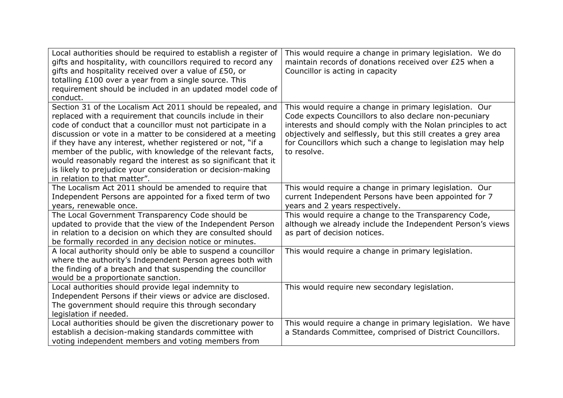| Local authorities should be required to establish a register of<br>gifts and hospitality, with councillors required to record any<br>gifts and hospitality received over a value of £50, or<br>totalling £100 over a year from a single source. This<br>requirement should be included in an updated model code of<br>conduct.                                                                                                                                                                                                                           | This would require a change in primary legislation. We do<br>maintain records of donations received over £25 when a<br>Councillor is acting in capacity                                                                                                                                                                           |
|----------------------------------------------------------------------------------------------------------------------------------------------------------------------------------------------------------------------------------------------------------------------------------------------------------------------------------------------------------------------------------------------------------------------------------------------------------------------------------------------------------------------------------------------------------|-----------------------------------------------------------------------------------------------------------------------------------------------------------------------------------------------------------------------------------------------------------------------------------------------------------------------------------|
| Section 31 of the Localism Act 2011 should be repealed, and<br>replaced with a requirement that councils include in their<br>code of conduct that a councillor must not participate in a<br>discussion or vote in a matter to be considered at a meeting<br>if they have any interest, whether registered or not, "if a<br>member of the public, with knowledge of the relevant facts,<br>would reasonably regard the interest as so significant that it<br>is likely to prejudice your consideration or decision-making<br>in relation to that matter". | This would require a change in primary legislation. Our<br>Code expects Councillors to also declare non-pecuniary<br>interests and should comply with the Nolan principles to act<br>objectively and selflessly, but this still creates a grey area<br>for Councillors which such a change to legislation may help<br>to resolve. |
| The Localism Act 2011 should be amended to require that<br>Independent Persons are appointed for a fixed term of two<br>years, renewable once.                                                                                                                                                                                                                                                                                                                                                                                                           | This would require a change in primary legislation. Our<br>current Independent Persons have been appointed for 7<br>years and 2 years respectively.                                                                                                                                                                               |
| The Local Government Transparency Code should be<br>updated to provide that the view of the Independent Person<br>in relation to a decision on which they are consulted should<br>be formally recorded in any decision notice or minutes.                                                                                                                                                                                                                                                                                                                | This would require a change to the Transparency Code,<br>although we already include the Independent Person's views<br>as part of decision notices.                                                                                                                                                                               |
| A local authority should only be able to suspend a councillor<br>where the authority's Independent Person agrees both with<br>the finding of a breach and that suspending the councillor<br>would be a proportionate sanction.                                                                                                                                                                                                                                                                                                                           | This would require a change in primary legislation.                                                                                                                                                                                                                                                                               |
| Local authorities should provide legal indemnity to<br>Independent Persons if their views or advice are disclosed.<br>The government should require this through secondary<br>legislation if needed.                                                                                                                                                                                                                                                                                                                                                     | This would require new secondary legislation.                                                                                                                                                                                                                                                                                     |
| Local authorities should be given the discretionary power to<br>establish a decision-making standards committee with<br>voting independent members and voting members from                                                                                                                                                                                                                                                                                                                                                                               | This would require a change in primary legislation. We have<br>a Standards Committee, comprised of District Councillors.                                                                                                                                                                                                          |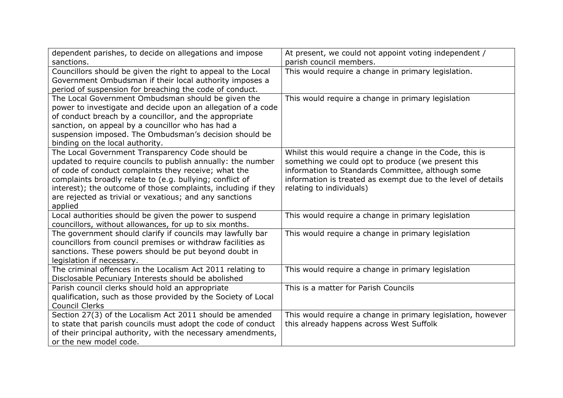| dependent parishes, to decide on allegations and impose                                                                                                                                                                                                                                                                                                                    | At present, we could not appoint voting independent /                                                                                                                                                                                                          |
|----------------------------------------------------------------------------------------------------------------------------------------------------------------------------------------------------------------------------------------------------------------------------------------------------------------------------------------------------------------------------|----------------------------------------------------------------------------------------------------------------------------------------------------------------------------------------------------------------------------------------------------------------|
| sanctions.                                                                                                                                                                                                                                                                                                                                                                 | parish council members.                                                                                                                                                                                                                                        |
| Councillors should be given the right to appeal to the Local<br>Government Ombudsman if their local authority imposes a<br>period of suspension for breaching the code of conduct.                                                                                                                                                                                         | This would require a change in primary legislation.                                                                                                                                                                                                            |
| The Local Government Ombudsman should be given the<br>power to investigate and decide upon an allegation of a code<br>of conduct breach by a councillor, and the appropriate<br>sanction, on appeal by a councillor who has had a<br>suspension imposed. The Ombudsman's decision should be<br>binding on the local authority.                                             | This would require a change in primary legislation                                                                                                                                                                                                             |
| The Local Government Transparency Code should be<br>updated to require councils to publish annually: the number<br>of code of conduct complaints they receive; what the<br>complaints broadly relate to (e.g. bullying; conflict of<br>interest); the outcome of those complaints, including if they<br>are rejected as trivial or vexatious; and any sanctions<br>applied | Whilst this would require a change in the Code, this is<br>something we could opt to produce (we present this<br>information to Standards Committee, although some<br>information is treated as exempt due to the level of details<br>relating to individuals) |
| Local authorities should be given the power to suspend<br>councillors, without allowances, for up to six months.                                                                                                                                                                                                                                                           | This would require a change in primary legislation                                                                                                                                                                                                             |
| The government should clarify if councils may lawfully bar<br>councillors from council premises or withdraw facilities as<br>sanctions. These powers should be put beyond doubt in<br>legislation if necessary.                                                                                                                                                            | This would require a change in primary legislation                                                                                                                                                                                                             |
| The criminal offences in the Localism Act 2011 relating to<br>Disclosable Pecuniary Interests should be abolished                                                                                                                                                                                                                                                          | This would require a change in primary legislation                                                                                                                                                                                                             |
| Parish council clerks should hold an appropriate<br>qualification, such as those provided by the Society of Local<br><b>Council Clerks</b>                                                                                                                                                                                                                                 | This is a matter for Parish Councils                                                                                                                                                                                                                           |
| Section 27(3) of the Localism Act 2011 should be amended<br>to state that parish councils must adopt the code of conduct<br>of their principal authority, with the necessary amendments,<br>or the new model code.                                                                                                                                                         | This would require a change in primary legislation, however<br>this already happens across West Suffolk                                                                                                                                                        |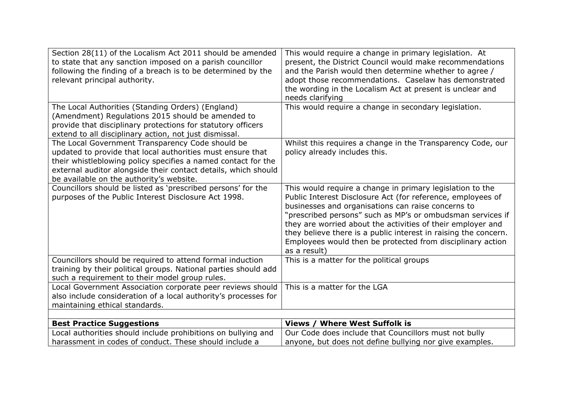| Section 28(11) of the Localism Act 2011 should be amended<br>to state that any sanction imposed on a parish councillor<br>following the finding of a breach is to be determined by the<br>relevant principal authority.                                                                       | This would require a change in primary legislation. At<br>present, the District Council would make recommendations<br>and the Parish would then determine whether to agree /<br>adopt those recommendations. Caselaw has demonstrated<br>the wording in the Localism Act at present is unclear and<br>needs clarifying                                                                                                                                       |
|-----------------------------------------------------------------------------------------------------------------------------------------------------------------------------------------------------------------------------------------------------------------------------------------------|--------------------------------------------------------------------------------------------------------------------------------------------------------------------------------------------------------------------------------------------------------------------------------------------------------------------------------------------------------------------------------------------------------------------------------------------------------------|
| The Local Authorities (Standing Orders) (England)<br>(Amendment) Regulations 2015 should be amended to<br>provide that disciplinary protections for statutory officers<br>extend to all disciplinary action, not just dismissal.                                                              | This would require a change in secondary legislation.                                                                                                                                                                                                                                                                                                                                                                                                        |
| The Local Government Transparency Code should be<br>updated to provide that local authorities must ensure that<br>their whistleblowing policy specifies a named contact for the<br>external auditor alongside their contact details, which should<br>be available on the authority's website. | Whilst this requires a change in the Transparency Code, our<br>policy already includes this.                                                                                                                                                                                                                                                                                                                                                                 |
| Councillors should be listed as 'prescribed persons' for the<br>purposes of the Public Interest Disclosure Act 1998.                                                                                                                                                                          | This would require a change in primary legislation to the<br>Public Interest Disclosure Act (for reference, employees of<br>businesses and organisations can raise concerns to<br>"prescribed persons" such as MP's or ombudsman services if<br>they are worried about the activities of their employer and<br>they believe there is a public interest in raising the concern.<br>Employees would then be protected from disciplinary action<br>as a result) |
| Councillors should be required to attend formal induction<br>training by their political groups. National parties should add<br>such a requirement to their model group rules.                                                                                                                | This is a matter for the political groups                                                                                                                                                                                                                                                                                                                                                                                                                    |
| Local Government Association corporate peer reviews should<br>also include consideration of a local authority's processes for<br>maintaining ethical standards.                                                                                                                               | This is a matter for the LGA                                                                                                                                                                                                                                                                                                                                                                                                                                 |
| <b>Best Practice Suggestions</b>                                                                                                                                                                                                                                                              | <b>Views / Where West Suffolk is</b>                                                                                                                                                                                                                                                                                                                                                                                                                         |
| Local authorities should include prohibitions on bullying and                                                                                                                                                                                                                                 | Our Code does include that Councillors must not bully                                                                                                                                                                                                                                                                                                                                                                                                        |
| harassment in codes of conduct. These should include a                                                                                                                                                                                                                                        | anyone, but does not define bullying nor give examples.                                                                                                                                                                                                                                                                                                                                                                                                      |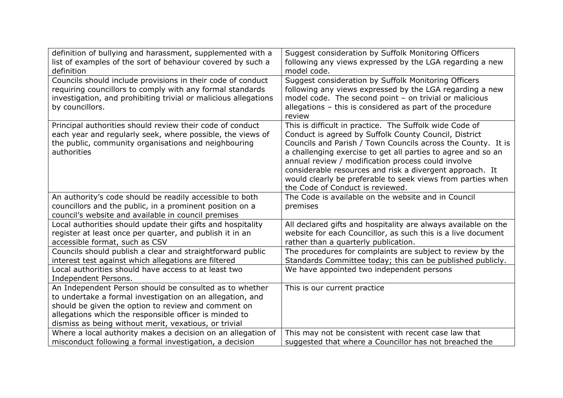| definition of bullying and harassment, supplemented with a<br>list of examples of the sort of behaviour covered by such a<br>definition                                                                                                                                                        | Suggest consideration by Suffolk Monitoring Officers<br>following any views expressed by the LGA regarding a new<br>model code.                                                                                                                                                                                                                                                                                                                                       |
|------------------------------------------------------------------------------------------------------------------------------------------------------------------------------------------------------------------------------------------------------------------------------------------------|-----------------------------------------------------------------------------------------------------------------------------------------------------------------------------------------------------------------------------------------------------------------------------------------------------------------------------------------------------------------------------------------------------------------------------------------------------------------------|
| Councils should include provisions in their code of conduct<br>requiring councillors to comply with any formal standards<br>investigation, and prohibiting trivial or malicious allegations<br>by councillors.                                                                                 | Suggest consideration by Suffolk Monitoring Officers<br>following any views expressed by the LGA regarding a new<br>model code. The second point - on trivial or malicious<br>allegations - this is considered as part of the procedure<br>review                                                                                                                                                                                                                     |
| Principal authorities should review their code of conduct<br>each year and regularly seek, where possible, the views of<br>the public, community organisations and neighbouring<br>authorities                                                                                                 | This is difficult in practice. The Suffolk wide Code of<br>Conduct is agreed by Suffolk County Council, District<br>Councils and Parish / Town Councils across the County. It is<br>a challenging exercise to get all parties to agree and so an<br>annual review / modification process could involve<br>considerable resources and risk a divergent approach. It<br>would clearly be preferable to seek views from parties when<br>the Code of Conduct is reviewed. |
| An authority's code should be readily accessible to both<br>councillors and the public, in a prominent position on a<br>council's website and available in council premises                                                                                                                    | The Code is available on the website and in Council<br>premises                                                                                                                                                                                                                                                                                                                                                                                                       |
| Local authorities should update their gifts and hospitality<br>register at least once per quarter, and publish it in an<br>accessible format, such as CSV                                                                                                                                      | All declared gifts and hospitality are always available on the<br>website for each Councillor, as such this is a live document<br>rather than a quarterly publication.                                                                                                                                                                                                                                                                                                |
| Councils should publish a clear and straightforward public<br>interest test against which allegations are filtered                                                                                                                                                                             | The procedures for complaints are subject to review by the<br>Standards Committee today; this can be published publicly.                                                                                                                                                                                                                                                                                                                                              |
| Local authorities should have access to at least two<br>Independent Persons.                                                                                                                                                                                                                   | We have appointed two independent persons                                                                                                                                                                                                                                                                                                                                                                                                                             |
| An Independent Person should be consulted as to whether<br>to undertake a formal investigation on an allegation, and<br>should be given the option to review and comment on<br>allegations which the responsible officer is minded to<br>dismiss as being without merit, vexatious, or trivial | This is our current practice                                                                                                                                                                                                                                                                                                                                                                                                                                          |
| Where a local authority makes a decision on an allegation of<br>misconduct following a formal investigation, a decision                                                                                                                                                                        | This may not be consistent with recent case law that<br>suggested that where a Councillor has not breached the                                                                                                                                                                                                                                                                                                                                                        |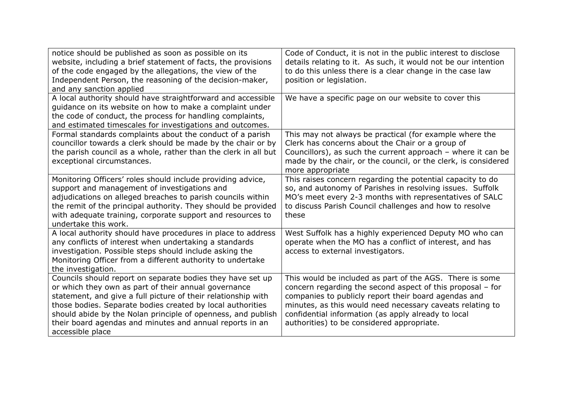| notice should be published as soon as possible on its<br>website, including a brief statement of facts, the provisions<br>of the code engaged by the allegations, the view of the<br>Independent Person, the reasoning of the decision-maker,<br>and any sanction applied                                                                                                                         | Code of Conduct, it is not in the public interest to disclose<br>details relating to it. As such, it would not be our intention<br>to do this unless there is a clear change in the case law<br>position or legislation.                                                                                                                         |
|---------------------------------------------------------------------------------------------------------------------------------------------------------------------------------------------------------------------------------------------------------------------------------------------------------------------------------------------------------------------------------------------------|--------------------------------------------------------------------------------------------------------------------------------------------------------------------------------------------------------------------------------------------------------------------------------------------------------------------------------------------------|
| A local authority should have straightforward and accessible<br>guidance on its website on how to make a complaint under<br>the code of conduct, the process for handling complaints,<br>and estimated timescales for investigations and outcomes.                                                                                                                                                | We have a specific page on our website to cover this                                                                                                                                                                                                                                                                                             |
| Formal standards complaints about the conduct of a parish<br>councillor towards a clerk should be made by the chair or by<br>the parish council as a whole, rather than the clerk in all but<br>exceptional circumstances.                                                                                                                                                                        | This may not always be practical (for example where the<br>Clerk has concerns about the Chair or a group of<br>Councillors), as such the current approach $-$ where it can be<br>made by the chair, or the council, or the clerk, is considered<br>more appropriate                                                                              |
| Monitoring Officers' roles should include providing advice,<br>support and management of investigations and<br>adjudications on alleged breaches to parish councils within<br>the remit of the principal authority. They should be provided<br>with adequate training, corporate support and resources to<br>undertake this work.                                                                 | This raises concern regarding the potential capacity to do<br>so, and autonomy of Parishes in resolving issues. Suffolk<br>MO's meet every 2-3 months with representatives of SALC<br>to discuss Parish Council challenges and how to resolve<br>these                                                                                           |
| A local authority should have procedures in place to address<br>any conflicts of interest when undertaking a standards<br>investigation. Possible steps should include asking the<br>Monitoring Officer from a different authority to undertake<br>the investigation.                                                                                                                             | West Suffolk has a highly experienced Deputy MO who can<br>operate when the MO has a conflict of interest, and has<br>access to external investigators.                                                                                                                                                                                          |
| Councils should report on separate bodies they have set up<br>or which they own as part of their annual governance<br>statement, and give a full picture of their relationship with<br>those bodies. Separate bodies created by local authorities<br>should abide by the Nolan principle of openness, and publish<br>their board agendas and minutes and annual reports in an<br>accessible place | This would be included as part of the AGS. There is some<br>concern regarding the second aspect of this proposal - for<br>companies to publicly report their board agendas and<br>minutes, as this would need necessary caveats relating to<br>confidential information (as apply already to local<br>authorities) to be considered appropriate. |